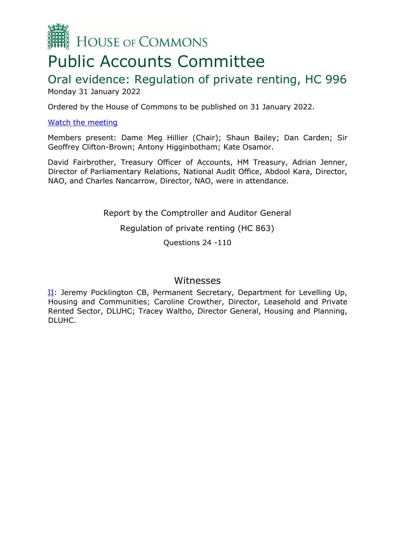

# Public Accounts Committee

# Oral evidence: Regulation of private renting, HC 996 Monday 31 January 2022

Ordered by the House of Commons to be published on 31 January 2022.

### [Watch the meeting](https://www.parliamentlive.tv/Event/Index/6dab29da-7df5-46b7-af1e-d5eee8641f3b)

Members present: Dame Meg Hillier (Chair); Shaun Bailey; Dan Carden; Sir Geoffrey Clifton-Brown; Antony Higginbotham; Kate Osamor.

David Fairbrother, Treasury Officer of Accounts, HM Treasury, Adrian Jenner, Director of Parliamentary Relations, National Audit Office, Abdool Kara, Director, NAO, and Charles Nancarrow, Director, NAO, were in attendance.

Report by the Comptroller and Auditor General

Regulation of private renting (HC 863)

Questions 24 -110

# Witnesses

II: Jeremy Pocklington CB, Permanent Secretary, Department for Levelling Up, Housing and Communities; Caroline Crowther, Director, Leasehold and Private Rented Sector, DLUHC; Tracey Waltho, Director General, Housing and Planning, DLUHC.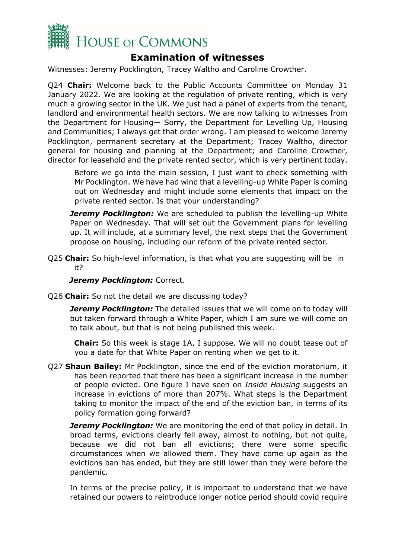

# **Examination of witnesses**

Witnesses: Jeremy Pocklington, Tracey Waltho and Caroline Crowther.

Q24 **Chair:** Welcome back to the Public Accounts Committee on Monday 31 January 2022. We are looking at the regulation of private renting, which is very much a growing sector in the UK. We just had a panel of experts from the tenant, landlord and environmental health sectors. We are now talking to witnesses from the Department for Housing— Sorry, the Department for Levelling Up, Housing and Communities; I always get that order wrong. I am pleased to welcome Jeremy Pocklington, permanent secretary at the Department; Tracey Waltho, director general for housing and planning at the Department; and Caroline Crowther, director for leasehold and the private rented sector, which is very pertinent today.

Before we go into the main session, I just want to check something with Mr Pocklington. We have had wind that a levelling-up White Paper is coming out on Wednesday and might include some elements that impact on the private rented sector. Is that your understanding?

*Jeremy Pocklington:* We are scheduled to publish the levelling-up White Paper on Wednesday. That will set out the Government plans for levelling up. It will include, at a summary level, the next steps that the Government propose on housing, including our reform of the private rented sector.

Q25 **Chair:** So high-level information, is that what you are suggesting will be in it?

#### *Jeremy Pocklington: Correct.*

Q26 **Chair:** So not the detail we are discussing today?

**Jeremy Pocklington:** The detailed issues that we will come on to today will but taken forward through a White Paper, which I am sure we will come on to talk about, but that is not being published this week.

**Chair:** So this week is stage 1A, I suppose. We will no doubt tease out of you a date for that White Paper on renting when we get to it.

Q27 **Shaun Bailey:** Mr Pocklington, since the end of the eviction moratorium, it has been reported that there has been a significant increase in the number of people evicted. One figure I have seen on *Inside Housing* suggests an increase in evictions of more than 207%. What steps is the Department taking to monitor the impact of the end of the eviction ban, in terms of its policy formation going forward?

*Jeremy Pocklington:* We are monitoring the end of that policy in detail. In broad terms, evictions clearly fell away, almost to nothing, but not quite, because we did not ban all evictions; there were some specific circumstances when we allowed them. They have come up again as the evictions ban has ended, but they are still lower than they were before the pandemic.

In terms of the precise policy, it is important to understand that we have retained our powers to reintroduce longer notice period should covid require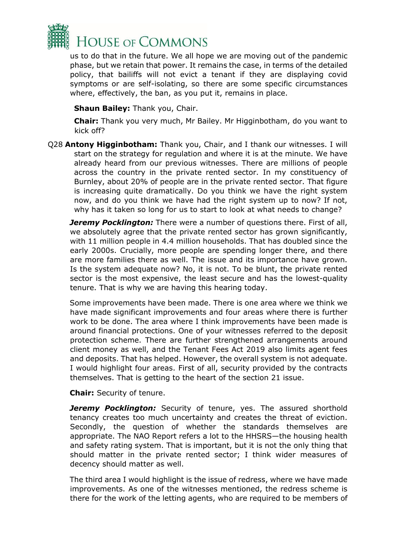

us to do that in the future. We all hope we are moving out of the pandemic phase, but we retain that power. It remains the case, in terms of the detailed policy, that bailiffs will not evict a tenant if they are displaying covid symptoms or are self-isolating, so there are some specific circumstances where, effectively, the ban, as you put it, remains in place.

**Shaun Bailey:** Thank you, Chair.

**Chair:** Thank you very much, Mr Bailey. Mr Higginbotham, do you want to kick off?

Q28 **Antony Higginbotham:** Thank you, Chair, and I thank our witnesses. I will start on the strategy for regulation and where it is at the minute. We have already heard from our previous witnesses. There are millions of people across the country in the private rented sector. In my constituency of Burnley, about 20% of people are in the private rented sector. That figure is increasing quite dramatically. Do you think we have the right system now, and do you think we have had the right system up to now? If not, why has it taken so long for us to start to look at what needs to change?

*Jeremy Pocklington:* There were a number of questions there. First of all, we absolutely agree that the private rented sector has grown significantly, with 11 million people in 4.4 million households. That has doubled since the early 2000s. Crucially, more people are spending longer there, and there are more families there as well. The issue and its importance have grown. Is the system adequate now? No, it is not. To be blunt, the private rented sector is the most expensive, the least secure and has the lowest-quality tenure. That is why we are having this hearing today.

Some improvements have been made. There is one area where we think we have made significant improvements and four areas where there is further work to be done. The area where I think improvements have been made is around financial protections. One of your witnesses referred to the deposit protection scheme. There are further strengthened arrangements around client money as well, and the Tenant Fees Act 2019 also limits agent fees and deposits. That has helped. However, the overall system is not adequate. I would highlight four areas. First of all, security provided by the contracts themselves. That is getting to the heart of the section 21 issue.

**Chair:** Security of tenure.

**Jeremy Pocklington:** Security of tenure, yes. The assured shorthold tenancy creates too much uncertainty and creates the threat of eviction. Secondly, the question of whether the standards themselves are appropriate. The NAO Report refers a lot to the HHSRS—the housing health and safety rating system. That is important, but it is not the only thing that should matter in the private rented sector; I think wider measures of decency should matter as well.

The third area I would highlight is the issue of redress, where we have made improvements. As one of the witnesses mentioned, the redress scheme is there for the work of the letting agents, who are required to be members of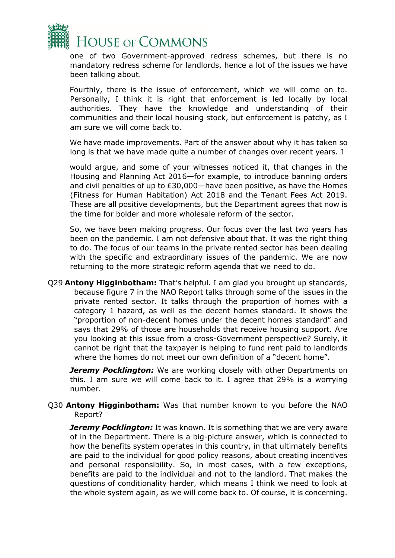

one of two Government-approved redress schemes, but there is no mandatory redress scheme for landlords, hence a lot of the issues we have been talking about.

Fourthly, there is the issue of enforcement, which we will come on to. Personally, I think it is right that enforcement is led locally by local authorities. They have the knowledge and understanding of their communities and their local housing stock, but enforcement is patchy, as I am sure we will come back to.

We have made improvements. Part of the answer about why it has taken so long is that we have made quite a number of changes over recent years. I

would argue, and some of your witnesses noticed it, that changes in the Housing and Planning Act 2016—for example, to introduce banning orders and civil penalties of up to £30,000—have been positive, as have the Homes (Fitness for Human Habitation) Act 2018 and the Tenant Fees Act 2019. These are all positive developments, but the Department agrees that now is the time for bolder and more wholesale reform of the sector.

So, we have been making progress. Our focus over the last two years has been on the pandemic. I am not defensive about that. It was the right thing to do. The focus of our teams in the private rented sector has been dealing with the specific and extraordinary issues of the pandemic. We are now returning to the more strategic reform agenda that we need to do.

Q29 **Antony Higginbotham:** That's helpful. I am glad you brought up standards, because figure 7 in the NAO Report talks through some of the issues in the private rented sector. It talks through the proportion of homes with a category 1 hazard, as well as the decent homes standard. It shows the "proportion of non-decent homes under the decent homes standard" and says that 29% of those are households that receive housing support. Are you looking at this issue from a cross-Government perspective? Surely, it cannot be right that the taxpayer is helping to fund rent paid to landlords where the homes do not meet our own definition of a "decent home".

*Jeremy Pocklington:* We are working closely with other Departments on this. I am sure we will come back to it. I agree that 29% is a worrying number.

Q30 **Antony Higginbotham:** Was that number known to you before the NAO Report?

*Jeremy Pocklington:* It was known. It is something that we are very aware of in the Department. There is a big-picture answer, which is connected to how the benefits system operates in this country, in that ultimately benefits are paid to the individual for good policy reasons, about creating incentives and personal responsibility. So, in most cases, with a few exceptions, benefits are paid to the individual and not to the landlord. That makes the questions of conditionality harder, which means I think we need to look at the whole system again, as we will come back to. Of course, it is concerning.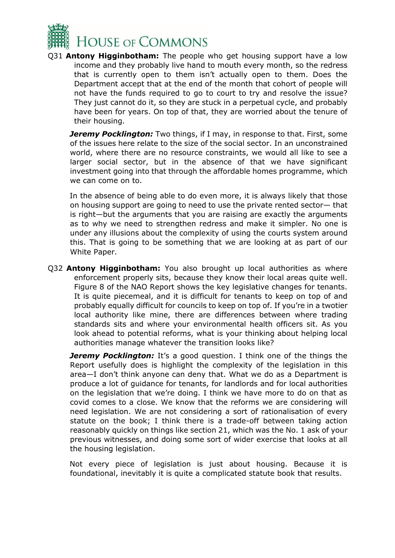

Q31 **Antony Higginbotham:** The people who get housing support have a low income and they probably live hand to mouth every month, so the redress that is currently open to them isn't actually open to them. Does the Department accept that at the end of the month that cohort of people will not have the funds required to go to court to try and resolve the issue? They just cannot do it, so they are stuck in a perpetual cycle, and probably have been for years. On top of that, they are worried about the tenure of their housing.

*Jeremy Pocklington:* Two things, if I may, in response to that. First, some of the issues here relate to the size of the social sector. In an unconstrained world, where there are no resource constraints, we would all like to see a larger social sector, but in the absence of that we have significant investment going into that through the affordable homes programme, which we can come on to.

In the absence of being able to do even more, it is always likely that those on housing support are going to need to use the private rented sector— that is right—but the arguments that you are raising are exactly the arguments as to why we need to strengthen redress and make it simpler. No one is under any illusions about the complexity of using the courts system around this. That is going to be something that we are looking at as part of our White Paper.

Q32 **Antony Higginbotham:** You also brought up local authorities as where enforcement properly sits, because they know their local areas quite well. Figure 8 of the NAO Report shows the key legislative changes for tenants. It is quite piecemeal, and it is difficult for tenants to keep on top of and probably equally difficult for councils to keep on top of. If you're in a twotier local authority like mine, there are differences between where trading standards sits and where your environmental health officers sit. As you look ahead to potential reforms, what is your thinking about helping local authorities manage whatever the transition looks like?

**Jeremy Pocklington:** It's a good question. I think one of the things the Report usefully does is highlight the complexity of the legislation in this area—I don't think anyone can deny that. What we do as a Department is produce a lot of guidance for tenants, for landlords and for local authorities on the legislation that we're doing. I think we have more to do on that as covid comes to a close. We know that the reforms we are considering will need legislation. We are not considering a sort of rationalisation of every statute on the book; I think there is a trade-off between taking action reasonably quickly on things like section 21, which was the No. 1 ask of your previous witnesses, and doing some sort of wider exercise that looks at all the housing legislation.

Not every piece of legislation is just about housing. Because it is foundational, inevitably it is quite a complicated statute book that results.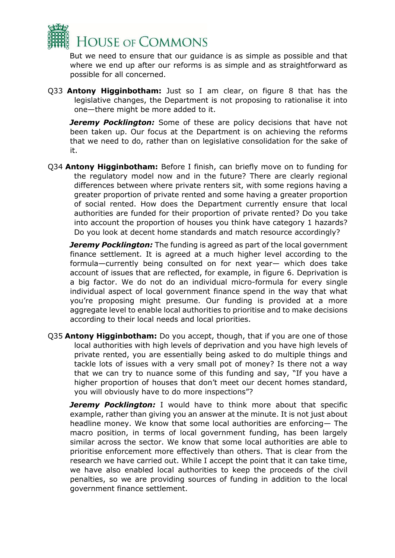

But we need to ensure that our guidance is as simple as possible and that where we end up after our reforms is as simple and as straightforward as possible for all concerned.

Q33 **Antony Higginbotham:** Just so I am clear, on figure 8 that has the legislative changes, the Department is not proposing to rationalise it into one—there might be more added to it.

**Jeremy Pocklington:** Some of these are policy decisions that have not been taken up. Our focus at the Department is on achieving the reforms that we need to do, rather than on legislative consolidation for the sake of it.

Q34 **Antony Higginbotham:** Before I finish, can briefly move on to funding for the regulatory model now and in the future? There are clearly regional differences between where private renters sit, with some regions having a greater proportion of private rented and some having a greater proportion of social rented. How does the Department currently ensure that local authorities are funded for their proportion of private rented? Do you take into account the proportion of houses you think have category 1 hazards? Do you look at decent home standards and match resource accordingly?

*Jeremy Pocklington:* The funding is agreed as part of the local government finance settlement. It is agreed at a much higher level according to the formula—currently being consulted on for next year— which does take account of issues that are reflected, for example, in figure 6. Deprivation is a big factor. We do not do an individual micro-formula for every single individual aspect of local government finance spend in the way that what you're proposing might presume. Our funding is provided at a more aggregate level to enable local authorities to prioritise and to make decisions according to their local needs and local priorities.

Q35 **Antony Higginbotham:** Do you accept, though, that if you are one of those local authorities with high levels of deprivation and you have high levels of private rented, you are essentially being asked to do multiple things and tackle lots of issues with a very small pot of money? Is there not a way that we can try to nuance some of this funding and say, "If you have a higher proportion of houses that don't meet our decent homes standard, you will obviously have to do more inspections"?

*Jeremy Pocklington:* I would have to think more about that specific example, rather than giving you an answer at the minute. It is not just about headline money. We know that some local authorities are enforcing— The macro position, in terms of local government funding, has been largely similar across the sector. We know that some local authorities are able to prioritise enforcement more effectively than others. That is clear from the research we have carried out. While I accept the point that it can take time, we have also enabled local authorities to keep the proceeds of the civil penalties, so we are providing sources of funding in addition to the local government finance settlement.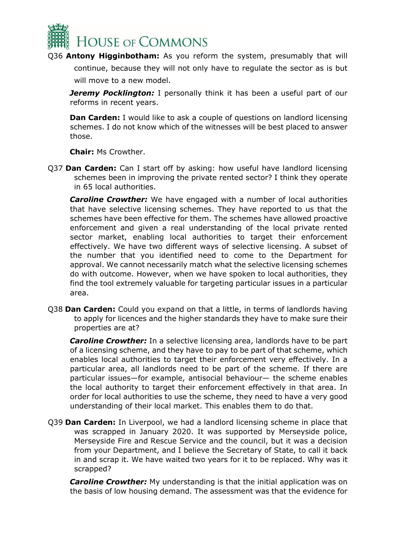

Q36 **Antony Higginbotham:** As you reform the system, presumably that will continue, because they will not only have to regulate the sector as is but will move to a new model.

**Jeremy Pocklington:** I personally think it has been a useful part of our reforms in recent years.

**Dan Carden:** I would like to ask a couple of questions on landlord licensing schemes. I do not know which of the witnesses will be best placed to answer those.

**Chair:** Ms Crowther.

Q37 **Dan Carden:** Can I start off by asking: how useful have landlord licensing schemes been in improving the private rented sector? I think they operate in 65 local authorities.

*Caroline Crowther:* We have engaged with a number of local authorities that have selective licensing schemes. They have reported to us that the schemes have been effective for them. The schemes have allowed proactive enforcement and given a real understanding of the local private rented sector market, enabling local authorities to target their enforcement effectively. We have two different ways of selective licensing. A subset of the number that you identified need to come to the Department for approval. We cannot necessarily match what the selective licensing schemes do with outcome. However, when we have spoken to local authorities, they find the tool extremely valuable for targeting particular issues in a particular area.

Q38 **Dan Carden:** Could you expand on that a little, in terms of landlords having to apply for licences and the higher standards they have to make sure their properties are at?

*Caroline Crowther:* In a selective licensing area, landlords have to be part of a licensing scheme, and they have to pay to be part of that scheme, which enables local authorities to target their enforcement very effectively. In a particular area, all landlords need to be part of the scheme. If there are particular issues—for example, antisocial behaviour— the scheme enables the local authority to target their enforcement effectively in that area. In order for local authorities to use the scheme, they need to have a very good understanding of their local market. This enables them to do that.

Q39 **Dan Carden:** In Liverpool, we had a landlord licensing scheme in place that was scrapped in January 2020. It was supported by Merseyside police, Merseyside Fire and Rescue Service and the council, but it was a decision from your Department, and I believe the Secretary of State, to call it back in and scrap it. We have waited two years for it to be replaced. Why was it scrapped?

*Caroline Crowther:* My understanding is that the initial application was on the basis of low housing demand. The assessment was that the evidence for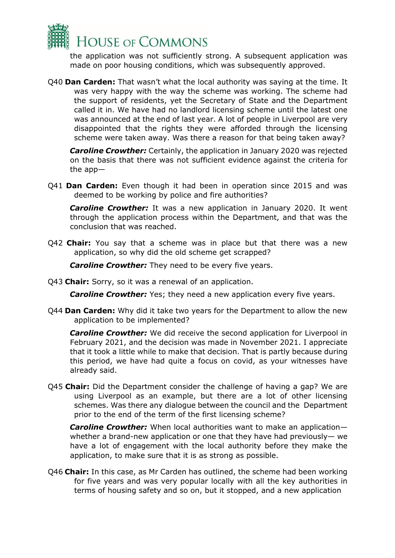

the application was not sufficiently strong. A subsequent application was made on poor housing conditions, which was subsequently approved.

Q40 **Dan Carden:** That wasn't what the local authority was saying at the time. It was very happy with the way the scheme was working. The scheme had the support of residents, yet the Secretary of State and the Department called it in. We have had no landlord licensing scheme until the latest one was announced at the end of last year. A lot of people in Liverpool are very disappointed that the rights they were afforded through the licensing scheme were taken away. Was there a reason for that being taken away?

*Caroline Crowther:* Certainly, the application in January 2020 was rejected on the basis that there was not sufficient evidence against the criteria for the app—

Q41 **Dan Carden:** Even though it had been in operation since 2015 and was deemed to be working by police and fire authorities?

*Caroline Crowther:* It was a new application in January 2020. It went through the application process within the Department, and that was the conclusion that was reached.

Q42 **Chair:** You say that a scheme was in place but that there was a new application, so why did the old scheme get scrapped?

*Caroline Crowther:* They need to be every five years.

Q43 **Chair:** Sorry, so it was a renewal of an application.

*Caroline Crowther:* Yes; they need a new application every five years.

Q44 **Dan Carden:** Why did it take two years for the Department to allow the new application to be implemented?

*Caroline Crowther:* We did receive the second application for Liverpool in February 2021, and the decision was made in November 2021. I appreciate that it took a little while to make that decision. That is partly because during this period, we have had quite a focus on covid, as your witnesses have already said.

Q45 **Chair:** Did the Department consider the challenge of having a gap? We are using Liverpool as an example, but there are a lot of other licensing schemes. Was there any dialogue between the council and the Department prior to the end of the term of the first licensing scheme?

*Caroline Crowther:* When local authorities want to make an application whether a brand-new application or one that they have had previously— we have a lot of engagement with the local authority before they make the application, to make sure that it is as strong as possible.

Q46 **Chair:** In this case, as Mr Carden has outlined, the scheme had been working for five years and was very popular locally with all the key authorities in terms of housing safety and so on, but it stopped, and a new application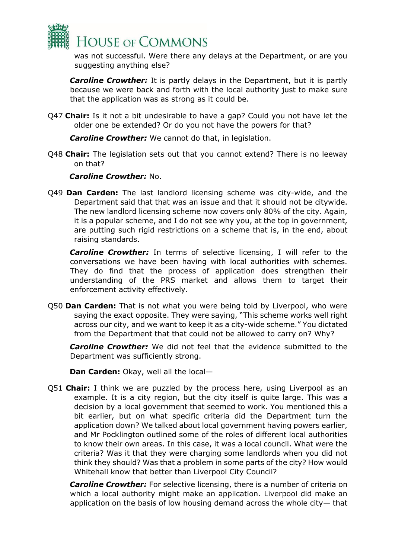

was not successful. Were there any delays at the Department, or are you suggesting anything else?

*Caroline Crowther:* It is partly delays in the Department, but it is partly because we were back and forth with the local authority just to make sure that the application was as strong as it could be.

Q47 **Chair:** Is it not a bit undesirable to have a gap? Could you not have let the older one be extended? Or do you not have the powers for that?

*Caroline Crowther:* We cannot do that, in legislation.

Q48 **Chair:** The legislation sets out that you cannot extend? There is no leeway on that?

#### *Caroline Crowther:* No.

Q49 **Dan Carden:** The last landlord licensing scheme was city-wide, and the Department said that that was an issue and that it should not be citywide. The new landlord licensing scheme now covers only 80% of the city. Again, it is a popular scheme, and I do not see why you, at the top in government, are putting such rigid restrictions on a scheme that is, in the end, about raising standards.

*Caroline Crowther:* In terms of selective licensing, I will refer to the conversations we have been having with local authorities with schemes. They do find that the process of application does strengthen their understanding of the PRS market and allows them to target their enforcement activity effectively.

Q50 **Dan Carden:** That is not what you were being told by Liverpool, who were saying the exact opposite. They were saying, "This scheme works well right across our city, and we want to keep it as a city-wide scheme." You dictated from the Department that that could not be allowed to carry on? Why?

*Caroline Crowther:* We did not feel that the evidence submitted to the Department was sufficiently strong.

**Dan Carden:** Okay, well all the local—

Q51 **Chair:** I think we are puzzled by the process here, using Liverpool as an example. It is a city region, but the city itself is quite large. This was a decision by a local government that seemed to work. You mentioned this a bit earlier, but on what specific criteria did the Department turn the application down? We talked about local government having powers earlier, and Mr Pocklington outlined some of the roles of different local authorities to know their own areas. In this case, it was a local council. What were the criteria? Was it that they were charging some landlords when you did not think they should? Was that a problem in some parts of the city? How would Whitehall know that better than Liverpool City Council?

*Caroline Crowther:* For selective licensing, there is a number of criteria on which a local authority might make an application. Liverpool did make an application on the basis of low housing demand across the whole city— that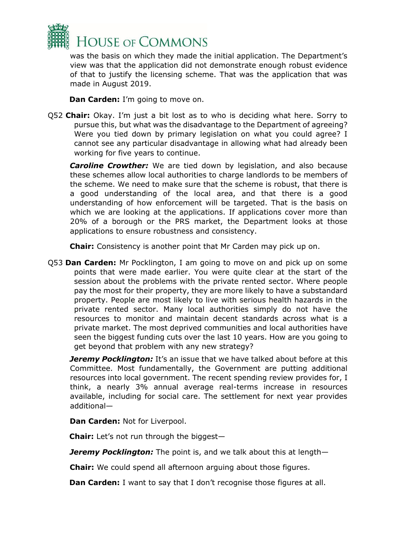

was the basis on which they made the initial application. The Department's view was that the application did not demonstrate enough robust evidence of that to justify the licensing scheme. That was the application that was made in August 2019.

**Dan Carden:** I'm going to move on.

Q52 **Chair:** Okay. I'm just a bit lost as to who is deciding what here. Sorry to pursue this, but what was the disadvantage to the Department of agreeing? Were you tied down by primary legislation on what you could agree? I cannot see any particular disadvantage in allowing what had already been working for five years to continue.

**Caroline Crowther:** We are tied down by legislation, and also because these schemes allow local authorities to charge landlords to be members of the scheme. We need to make sure that the scheme is robust, that there is a good understanding of the local area, and that there is a good understanding of how enforcement will be targeted. That is the basis on which we are looking at the applications. If applications cover more than 20% of a borough or the PRS market, the Department looks at those applications to ensure robustness and consistency.

**Chair:** Consistency is another point that Mr Carden may pick up on.

Q53 **Dan Carden:** Mr Pocklington, I am going to move on and pick up on some points that were made earlier. You were quite clear at the start of the session about the problems with the private rented sector. Where people pay the most for their property, they are more likely to have a substandard property. People are most likely to live with serious health hazards in the private rented sector. Many local authorities simply do not have the resources to monitor and maintain decent standards across what is a private market. The most deprived communities and local authorities have seen the biggest funding cuts over the last 10 years. How are you going to get beyond that problem with any new strategy?

*Jeremy Pocklington:* It's an issue that we have talked about before at this Committee. Most fundamentally, the Government are putting additional resources into local government. The recent spending review provides for, I think, a nearly 3% annual average real-terms increase in resources available, including for social care. The settlement for next year provides additional—

**Dan Carden:** Not for Liverpool.

**Chair:** Let's not run through the biggest—

*Jeremy Pocklington:* The point is, and we talk about this at length—

**Chair:** We could spend all afternoon arguing about those figures.

**Dan Carden:** I want to say that I don't recognise those figures at all.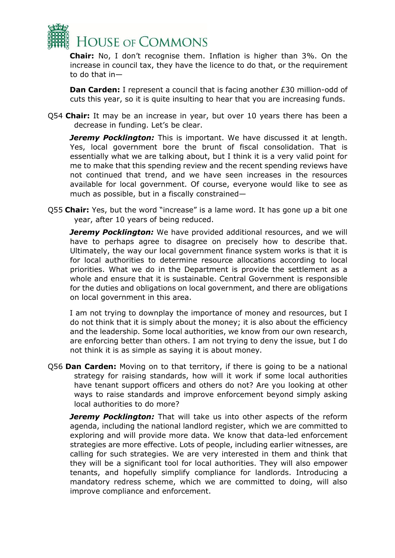

**Chair:** No, I don't recognise them. Inflation is higher than 3%. On the increase in council tax, they have the licence to do that, or the requirement to do that in—

**Dan Carden:** I represent a council that is facing another £30 million-odd of cuts this year, so it is quite insulting to hear that you are increasing funds.

Q54 **Chair:** It may be an increase in year, but over 10 years there has been a decrease in funding. Let's be clear.

**Jeremy Pocklington:** This is important. We have discussed it at length. Yes, local government bore the brunt of fiscal consolidation. That is essentially what we are talking about, but I think it is a very valid point for me to make that this spending review and the recent spending reviews have not continued that trend, and we have seen increases in the resources available for local government. Of course, everyone would like to see as much as possible, but in a fiscally constrained—

Q55 **Chair:** Yes, but the word "increase" is a lame word. It has gone up a bit one year, after 10 years of being reduced.

*Jeremy Pocklington:* We have provided additional resources, and we will have to perhaps agree to disagree on precisely how to describe that. Ultimately, the way our local government finance system works is that it is for local authorities to determine resource allocations according to local priorities. What we do in the Department is provide the settlement as a whole and ensure that it is sustainable. Central Government is responsible for the duties and obligations on local government, and there are obligations on local government in this area.

I am not trying to downplay the importance of money and resources, but I do not think that it is simply about the money; it is also about the efficiency and the leadership. Some local authorities, we know from our own research, are enforcing better than others. I am not trying to deny the issue, but I do not think it is as simple as saying it is about money.

Q56 **Dan Carden:** Moving on to that territory, if there is going to be a national strategy for raising standards, how will it work if some local authorities have tenant support officers and others do not? Are you looking at other ways to raise standards and improve enforcement beyond simply asking local authorities to do more?

**Jeremy Pocklington:** That will take us into other aspects of the reform agenda, including the national landlord register, which we are committed to exploring and will provide more data. We know that data-led enforcement strategies are more effective. Lots of people, including earlier witnesses, are calling for such strategies. We are very interested in them and think that they will be a significant tool for local authorities. They will also empower tenants, and hopefully simplify compliance for landlords. Introducing a mandatory redress scheme, which we are committed to doing, will also improve compliance and enforcement.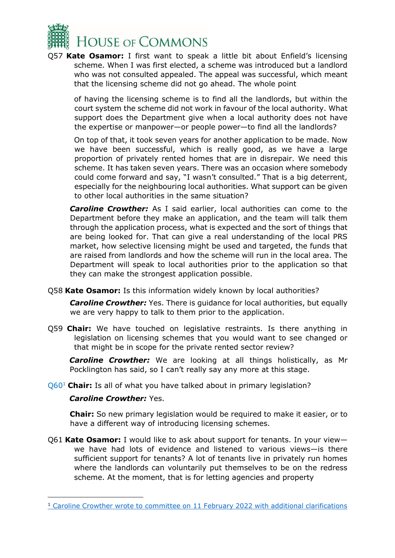

Q57 **Kate Osamor:** I first want to speak a little bit about Enfield's licensing scheme. When I was first elected, a scheme was introduced but a landlord who was not consulted appealed. The appeal was successful, which meant that the licensing scheme did not go ahead. The whole point

of having the licensing scheme is to find all the landlords, but within the court system the scheme did not work in favour of the local authority. What support does the Department give when a local authority does not have the expertise or manpower—or people power—to find all the landlords?

On top of that, it took seven years for another application to be made. Now we have been successful, which is really good, as we have a large proportion of privately rented homes that are in disrepair. We need this scheme. It has taken seven years. There was an occasion where somebody could come forward and say, "I wasn't consulted." That is a big deterrent, especially for the neighbouring local authorities. What support can be given to other local authorities in the same situation?

*Caroline Crowther:* As I said earlier, local authorities can come to the Department before they make an application, and the team will talk them through the application process, what is expected and the sort of things that are being looked for. That can give a real understanding of the local PRS market, how selective licensing might be used and targeted, the funds that are raised from landlords and how the scheme will run in the local area. The Department will speak to local authorities prior to the application so that they can make the strongest application possible.

Q58 **Kate Osamor:** Is this information widely known by local authorities?

*Caroline Crowther:* Yes. There is guidance for local authorities, but equally we are very happy to talk to them prior to the application.

Q59 **Chair:** We have touched on legislative restraints. Is there anything in legislation on licensing schemes that you would want to see changed or that might be in scope for the private rented sector review?

*Caroline Crowther:* We are looking at all things holistically, as Mr Pocklington has said, so I can't really say any more at this stage.

Q60<sup>1</sup> **Chair:** Is all of what you have talked about in primary legislation?

## *Caroline Crowther:* Yes.

**Chair:** So new primary legislation would be required to make it easier, or to have a different way of introducing licensing schemes.

Q61 **Kate Osamor:** I would like to ask about support for tenants. In your view we have had lots of evidence and listened to various views—is there sufficient support for tenants? A lot of tenants live in privately run homes where the landlords can voluntarily put themselves to be on the redress scheme. At the moment, that is for letting agencies and property

<sup>1</sup> [Caroline Crowther wrote to](https://committees.parliament.uk/publications/8924/documents/152338/default/) [committee on](https://committees.parliament.uk/publications/8924/documents/152338/default/) [11 February 2022 with additional clarifications](https://committees.parliament.uk/publications/8924/documents/152338/default/)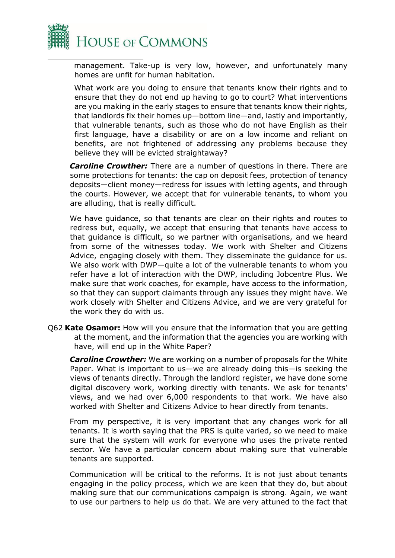

management. Take-up is very low, however, and unfortunately many homes are unfit for human habitation.

What work are you doing to ensure that tenants know their rights and to ensure that they do not end up having to go to court? What interventions are you making in the early stages to ensure that tenants know their rights, that landlords fix their homes up—bottom line—and, lastly and importantly, that vulnerable tenants, such as those who do not have English as their first language, have a disability or are on a low income and reliant on benefits, are not frightened of addressing any problems because they believe they will be evicted straightaway?

*Caroline Crowther:* There are a number of questions in there. There are some protections for tenants: the cap on deposit fees, protection of tenancy deposits—client money—redress for issues with letting agents, and through the courts. However, we accept that for vulnerable tenants, to whom you are alluding, that is really difficult.

We have guidance, so that tenants are clear on their rights and routes to redress but, equally, we accept that ensuring that tenants have access to that guidance is difficult, so we partner with organisations, and we heard from some of the witnesses today. We work with Shelter and Citizens Advice, engaging closely with them. They disseminate the guidance for us. We also work with DWP—quite a lot of the vulnerable tenants to whom you refer have a lot of interaction with the DWP, including Jobcentre Plus. We make sure that work coaches, for example, have access to the information, so that they can support claimants through any issues they might have. We work closely with Shelter and Citizens Advice, and we are very grateful for the work they do with us.

Q62 **Kate Osamor:** How will you ensure that the information that you are getting at the moment, and the information that the agencies you are working with have, will end up in the White Paper?

*Caroline Crowther:* We are working on a number of proposals for the White Paper. What is important to us—we are already doing this—is seeking the views of tenants directly. Through the landlord register, we have done some digital discovery work, working directly with tenants. We ask for tenants' views, and we had over 6,000 respondents to that work. We have also worked with Shelter and Citizens Advice to hear directly from tenants.

From my perspective, it is very important that any changes work for all tenants. It is worth saying that the PRS is quite varied, so we need to make sure that the system will work for everyone who uses the private rented sector. We have a particular concern about making sure that vulnerable tenants are supported.

Communication will be critical to the reforms. It is not just about tenants engaging in the policy process, which we are keen that they do, but about making sure that our communications campaign is strong. Again, we want to use our partners to help us do that. We are very attuned to the fact that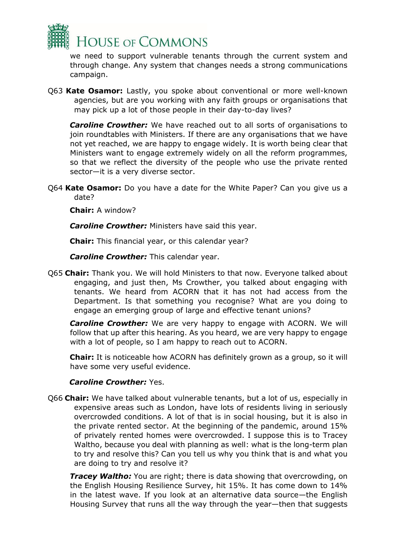

we need to support vulnerable tenants through the current system and through change. Any system that changes needs a strong communications campaign.

Q63 **Kate Osamor:** Lastly, you spoke about conventional or more well-known agencies, but are you working with any faith groups or organisations that may pick up a lot of those people in their day-to-day lives?

*Caroline Crowther:* We have reached out to all sorts of organisations to join roundtables with Ministers. If there are any organisations that we have not yet reached, we are happy to engage widely. It is worth being clear that Ministers want to engage extremely widely on all the reform programmes, so that we reflect the diversity of the people who use the private rented sector—it is a very diverse sector.

Q64 **Kate Osamor:** Do you have a date for the White Paper? Can you give us a date?

**Chair:** A window?

*Caroline Crowther:* Ministers have said this year.

**Chair:** This financial year, or this calendar year?

*Caroline Crowther:* This calendar year.

Q65 **Chair:** Thank you. We will hold Ministers to that now. Everyone talked about engaging, and just then, Ms Crowther, you talked about engaging with tenants. We heard from ACORN that it has not had access from the Department. Is that something you recognise? What are you doing to engage an emerging group of large and effective tenant unions?

*Caroline Crowther:* We are very happy to engage with ACORN. We will follow that up after this hearing. As you heard, we are very happy to engage with a lot of people, so I am happy to reach out to ACORN.

**Chair:** It is noticeable how ACORN has definitely grown as a group, so it will have some very useful evidence.

## *Caroline Crowther:* Yes.

Q66 **Chair:** We have talked about vulnerable tenants, but a lot of us, especially in expensive areas such as London, have lots of residents living in seriously overcrowded conditions. A lot of that is in social housing, but it is also in the private rented sector. At the beginning of the pandemic, around 15% of privately rented homes were overcrowded. I suppose this is to Tracey Waltho, because you deal with planning as well: what is the long-term plan to try and resolve this? Can you tell us why you think that is and what you are doing to try and resolve it?

**Tracey Waltho:** You are right; there is data showing that overcrowding, on the English Housing Resilience Survey, hit 15%. It has come down to 14% in the latest wave. If you look at an alternative data source—the English Housing Survey that runs all the way through the year—then that suggests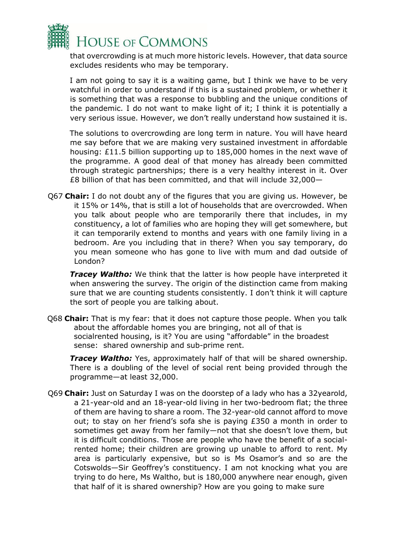

that overcrowding is at much more historic levels. However, that data source excludes residents who may be temporary.

I am not going to say it is a waiting game, but I think we have to be very watchful in order to understand if this is a sustained problem, or whether it is something that was a response to bubbling and the unique conditions of the pandemic. I do not want to make light of it; I think it is potentially a very serious issue. However, we don't really understand how sustained it is.

The solutions to overcrowding are long term in nature. You will have heard me say before that we are making very sustained investment in affordable housing: £11.5 billion supporting up to 185,000 homes in the next wave of the programme. A good deal of that money has already been committed through strategic partnerships; there is a very healthy interest in it. Over £8 billion of that has been committed, and that will include 32,000—

Q67 **Chair:** I do not doubt any of the figures that you are giving us. However, be it 15% or 14%, that is still a lot of households that are overcrowded. When you talk about people who are temporarily there that includes, in my constituency, a lot of families who are hoping they will get somewhere, but it can temporarily extend to months and years with one family living in a bedroom. Are you including that in there? When you say temporary, do you mean someone who has gone to live with mum and dad outside of London?

*Tracey Waltho:* We think that the latter is how people have interpreted it when answering the survey. The origin of the distinction came from making sure that we are counting students consistently. I don't think it will capture the sort of people you are talking about.

Q68 **Chair:** That is my fear: that it does not capture those people. When you talk about the affordable homes you are bringing, not all of that is socialrented housing, is it? You are using "affordable" in the broadest sense: shared ownership and sub-prime rent.

*Tracey Waltho:* Yes, approximately half of that will be shared ownership. There is a doubling of the level of social rent being provided through the programme—at least 32,000.

Q69 **Chair:** Just on Saturday I was on the doorstep of a lady who has a 32yearold, a 21-year-old and an 18-year-old living in her two-bedroom flat; the three of them are having to share a room. The 32-year-old cannot afford to move out; to stay on her friend's sofa she is paying £350 a month in order to sometimes get away from her family—not that she doesn't love them, but it is difficult conditions. Those are people who have the benefit of a socialrented home; their children are growing up unable to afford to rent. My area is particularly expensive, but so is Ms Osamor's and so are the Cotswolds—Sir Geoffrey's constituency. I am not knocking what you are trying to do here, Ms Waltho, but is 180,000 anywhere near enough, given that half of it is shared ownership? How are you going to make sure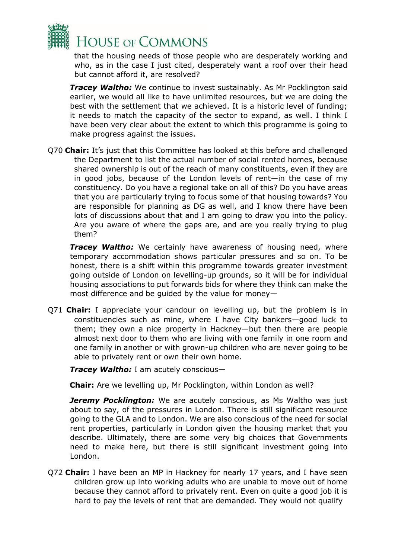

that the housing needs of those people who are desperately working and who, as in the case I just cited, desperately want a roof over their head but cannot afford it, are resolved?

*Tracey Waltho:* We continue to invest sustainably. As Mr Pocklington said earlier, we would all like to have unlimited resources, but we are doing the best with the settlement that we achieved. It is a historic level of funding; it needs to match the capacity of the sector to expand, as well. I think I have been very clear about the extent to which this programme is going to make progress against the issues.

Q70 **Chair:** It's just that this Committee has looked at this before and challenged the Department to list the actual number of social rented homes, because shared ownership is out of the reach of many constituents, even if they are in good jobs, because of the London levels of rent—in the case of my constituency. Do you have a regional take on all of this? Do you have areas that you are particularly trying to focus some of that housing towards? You are responsible for planning as DG as well, and I know there have been lots of discussions about that and I am going to draw you into the policy. Are you aware of where the gaps are, and are you really trying to plug them?

*Tracey Waltho:* We certainly have awareness of housing need, where temporary accommodation shows particular pressures and so on. To be honest, there is a shift within this programme towards greater investment going outside of London on levelling-up grounds, so it will be for individual housing associations to put forwards bids for where they think can make the most difference and be guided by the value for money—

Q71 **Chair:** I appreciate your candour on levelling up, but the problem is in constituencies such as mine, where I have City bankers—good luck to them; they own a nice property in Hackney—but then there are people almost next door to them who are living with one family in one room and one family in another or with grown-up children who are never going to be able to privately rent or own their own home.

*Tracey Waltho:* I am acutely conscious—

**Chair:** Are we levelling up, Mr Pocklington, within London as well?

**Jeremy Pocklington:** We are acutely conscious, as Ms Waltho was just about to say, of the pressures in London. There is still significant resource going to the GLA and to London. We are also conscious of the need for social rent properties, particularly in London given the housing market that you describe. Ultimately, there are some very big choices that Governments need to make here, but there is still significant investment going into London.

Q72 **Chair:** I have been an MP in Hackney for nearly 17 years, and I have seen children grow up into working adults who are unable to move out of home because they cannot afford to privately rent. Even on quite a good job it is hard to pay the levels of rent that are demanded. They would not qualify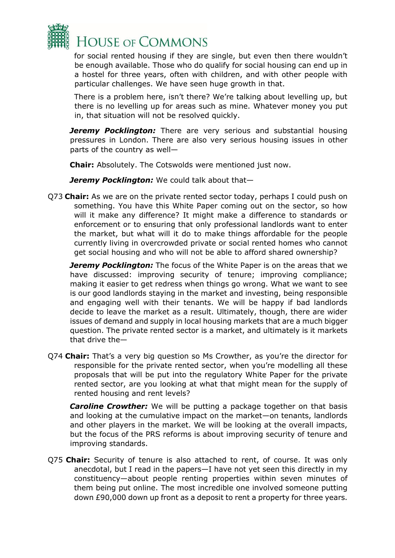

for social rented housing if they are single, but even then there wouldn't be enough available. Those who do qualify for social housing can end up in a hostel for three years, often with children, and with other people with particular challenges. We have seen huge growth in that.

There is a problem here, isn't there? We're talking about levelling up, but there is no levelling up for areas such as mine. Whatever money you put in, that situation will not be resolved quickly.

**Jeremy Pocklington:** There are very serious and substantial housing pressures in London. There are also very serious housing issues in other parts of the country as well—

**Chair:** Absolutely. The Cotswolds were mentioned just now.

*Jeremy Pocklington:* We could talk about that—

Q73 **Chair:** As we are on the private rented sector today, perhaps I could push on something. You have this White Paper coming out on the sector, so how will it make any difference? It might make a difference to standards or enforcement or to ensuring that only professional landlords want to enter the market, but what will it do to make things affordable for the people currently living in overcrowded private or social rented homes who cannot get social housing and who will not be able to afford shared ownership?

*Jeremy Pocklington:* The focus of the White Paper is on the areas that we have discussed: improving security of tenure; improving compliance; making it easier to get redress when things go wrong. What we want to see is our good landlords staying in the market and investing, being responsible and engaging well with their tenants. We will be happy if bad landlords decide to leave the market as a result. Ultimately, though, there are wider issues of demand and supply in local housing markets that are a much bigger question. The private rented sector is a market, and ultimately is it markets that drive the—

Q74 **Chair:** That's a very big question so Ms Crowther, as you're the director for responsible for the private rented sector, when you're modelling all these proposals that will be put into the regulatory White Paper for the private rented sector, are you looking at what that might mean for the supply of rented housing and rent levels?

*Caroline Crowther:* We will be putting a package together on that basis and looking at the cumulative impact on the market—on tenants, landlords and other players in the market. We will be looking at the overall impacts, but the focus of the PRS reforms is about improving security of tenure and improving standards.

Q75 **Chair:** Security of tenure is also attached to rent, of course. It was only anecdotal, but I read in the papers—I have not yet seen this directly in my constituency—about people renting properties within seven minutes of them being put online. The most incredible one involved someone putting down £90,000 down up front as a deposit to rent a property for three years.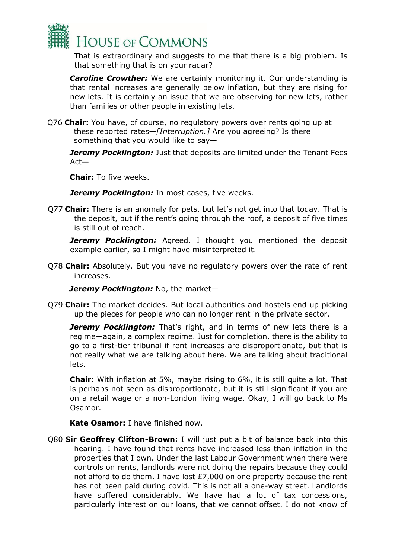

That is extraordinary and suggests to me that there is a big problem. Is that something that is on your radar?

*Caroline Crowther:* We are certainly monitoring it. Our understanding is that rental increases are generally below inflation, but they are rising for new lets. It is certainly an issue that we are observing for new lets, rather than families or other people in existing lets.

Q76 **Chair:** You have, of course, no regulatory powers over rents going up at these reported rates—*[Interruption.]* Are you agreeing? Is there something that you would like to say—

**Jeremy Pocklington:** Just that deposits are limited under the Tenant Fees Act—

**Chair:** To five weeks.

*Jeremy Pocklington:* In most cases, five weeks.

Q77 **Chair:** There is an anomaly for pets, but let's not get into that today. That is the deposit, but if the rent's going through the roof, a deposit of five times is still out of reach.

*Jeremy Pocklington:* Agreed. I thought you mentioned the deposit example earlier, so I might have misinterpreted it.

Q78 **Chair:** Absolutely. But you have no regulatory powers over the rate of rent increases.

*Jeremy Pocklington:* No, the market—

Q79 **Chair:** The market decides. But local authorities and hostels end up picking up the pieces for people who can no longer rent in the private sector.

**Jeremy Pocklington:** That's right, and in terms of new lets there is a regime—again, a complex regime. Just for completion, there is the ability to go to a first-tier tribunal if rent increases are disproportionate, but that is not really what we are talking about here. We are talking about traditional lets.

**Chair:** With inflation at 5%, maybe rising to 6%, it is still quite a lot. That is perhaps not seen as disproportionate, but it is still significant if you are on a retail wage or a non-London living wage. Okay, I will go back to Ms Osamor.

**Kate Osamor:** I have finished now.

Q80 **Sir Geoffrey Clifton-Brown:** I will just put a bit of balance back into this hearing. I have found that rents have increased less than inflation in the properties that I own. Under the last Labour Government when there were controls on rents, landlords were not doing the repairs because they could not afford to do them. I have lost £7,000 on one property because the rent has not been paid during covid. This is not all a one-way street. Landlords have suffered considerably. We have had a lot of tax concessions, particularly interest on our loans, that we cannot offset. I do not know of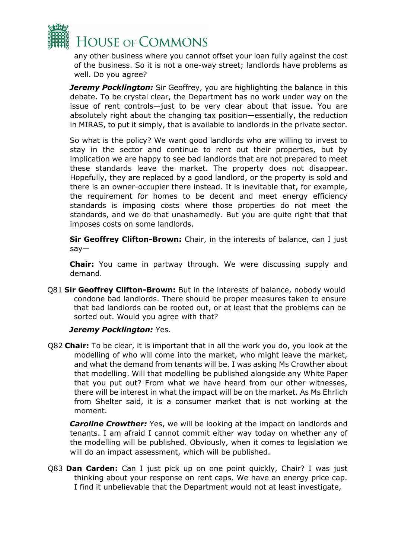

any other business where you cannot offset your loan fully against the cost of the business. So it is not a one-way street; landlords have problems as well. Do you agree?

**Jeremy Pocklington:** Sir Geoffrey, you are highlighting the balance in this debate. To be crystal clear, the Department has no work under way on the issue of rent controls—just to be very clear about that issue. You are absolutely right about the changing tax position—essentially, the reduction in MIRAS, to put it simply, that is available to landlords in the private sector.

So what is the policy? We want good landlords who are willing to invest to stay in the sector and continue to rent out their properties, but by implication we are happy to see bad landlords that are not prepared to meet these standards leave the market. The property does not disappear. Hopefully, they are replaced by a good landlord, or the property is sold and there is an owner-occupier there instead. It is inevitable that, for example, the requirement for homes to be decent and meet energy efficiency standards is imposing costs where those properties do not meet the standards, and we do that unashamedly. But you are quite right that that imposes costs on some landlords.

**Sir Geoffrey Clifton-Brown:** Chair, in the interests of balance, can I just say—

**Chair:** You came in partway through. We were discussing supply and demand.

Q81 **Sir Geoffrey Clifton-Brown:** But in the interests of balance, nobody would condone bad landlords. There should be proper measures taken to ensure that bad landlords can be rooted out, or at least that the problems can be sorted out. Would you agree with that?

#### *Jeremy Pocklington:* Yes.

Q82 **Chair:** To be clear, it is important that in all the work you do, you look at the modelling of who will come into the market, who might leave the market, and what the demand from tenants will be. I was asking Ms Crowther about that modelling. Will that modelling be published alongside any White Paper that you put out? From what we have heard from our other witnesses, there will be interest in what the impact will be on the market. As Ms Ehrlich from Shelter said, it is a consumer market that is not working at the moment.

*Caroline Crowther:* Yes, we will be looking at the impact on landlords and tenants. I am afraid I cannot commit either way today on whether any of the modelling will be published. Obviously, when it comes to legislation we will do an impact assessment, which will be published.

Q83 **Dan Carden:** Can I just pick up on one point quickly, Chair? I was just thinking about your response on rent caps. We have an energy price cap. I find it unbelievable that the Department would not at least investigate,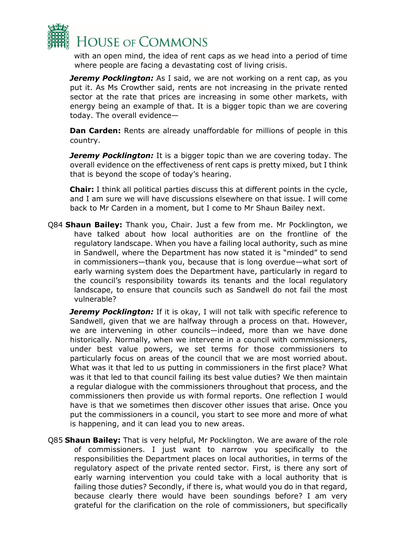

with an open mind, the idea of rent caps as we head into a period of time where people are facing a devastating cost of living crisis.

**Jeremy Pocklington:** As I said, we are not working on a rent cap, as you put it. As Ms Crowther said, rents are not increasing in the private rented sector at the rate that prices are increasing in some other markets, with energy being an example of that. It is a bigger topic than we are covering today. The overall evidence—

**Dan Carden:** Rents are already unaffordable for millions of people in this country.

*Jeremy Pocklington:* It is a bigger topic than we are covering today. The overall evidence on the effectiveness of rent caps is pretty mixed, but I think that is beyond the scope of today's hearing.

**Chair:** I think all political parties discuss this at different points in the cycle, and I am sure we will have discussions elsewhere on that issue. I will come back to Mr Carden in a moment, but I come to Mr Shaun Bailey next.

Q84 **Shaun Bailey:** Thank you, Chair. Just a few from me. Mr Pocklington, we have talked about how local authorities are on the frontline of the regulatory landscape. When you have a failing local authority, such as mine in Sandwell, where the Department has now stated it is "minded" to send in commissioners—thank you, because that is long overdue—what sort of early warning system does the Department have, particularly in regard to the council's responsibility towards its tenants and the local regulatory landscape, to ensure that councils such as Sandwell do not fail the most vulnerable?

**Jeremy Pocklington:** If it is okay, I will not talk with specific reference to Sandwell, given that we are halfway through a process on that. However, we are intervening in other councils—indeed, more than we have done historically. Normally, when we intervene in a council with commissioners, under best value powers, we set terms for those commissioners to particularly focus on areas of the council that we are most worried about. What was it that led to us putting in commissioners in the first place? What was it that led to that council failing its best value duties? We then maintain a regular dialogue with the commissioners throughout that process, and the commissioners then provide us with formal reports. One reflection I would have is that we sometimes then discover other issues that arise. Once you put the commissioners in a council, you start to see more and more of what is happening, and it can lead you to new areas.

Q85 **Shaun Bailey:** That is very helpful, Mr Pocklington. We are aware of the role of commissioners. I just want to narrow you specifically to the responsibilities the Department places on local authorities, in terms of the regulatory aspect of the private rented sector. First, is there any sort of early warning intervention you could take with a local authority that is failing those duties? Secondly, if there is, what would you do in that regard, because clearly there would have been soundings before? I am very grateful for the clarification on the role of commissioners, but specifically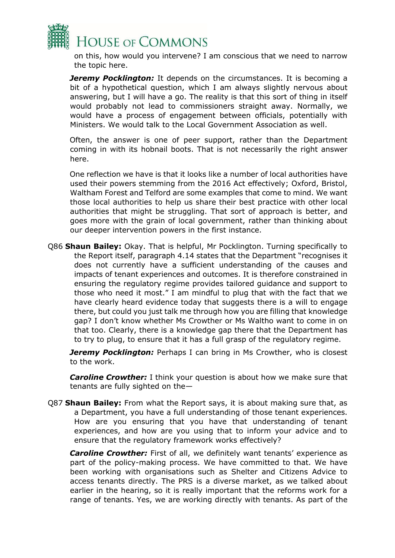

on this, how would you intervene? I am conscious that we need to narrow the topic here.

*Jeremy Pocklington:* It depends on the circumstances. It is becoming a bit of a hypothetical question, which I am always slightly nervous about answering, but I will have a go. The reality is that this sort of thing in itself would probably not lead to commissioners straight away. Normally, we would have a process of engagement between officials, potentially with Ministers. We would talk to the Local Government Association as well.

Often, the answer is one of peer support, rather than the Department coming in with its hobnail boots. That is not necessarily the right answer here.

One reflection we have is that it looks like a number of local authorities have used their powers stemming from the 2016 Act effectively; Oxford, Bristol, Waltham Forest and Telford are some examples that come to mind. We want those local authorities to help us share their best practice with other local authorities that might be struggling. That sort of approach is better, and goes more with the grain of local government, rather than thinking about our deeper intervention powers in the first instance.

Q86 **Shaun Bailey:** Okay. That is helpful, Mr Pocklington. Turning specifically to the Report itself, paragraph 4.14 states that the Department "recognises it does not currently have a sufficient understanding of the causes and impacts of tenant experiences and outcomes. It is therefore constrained in ensuring the regulatory regime provides tailored guidance and support to those who need it most." I am mindful to plug that with the fact that we have clearly heard evidence today that suggests there is a will to engage there, but could you just talk me through how you are filling that knowledge gap? I don't know whether Ms Crowther or Ms Waltho want to come in on that too. Clearly, there is a knowledge gap there that the Department has to try to plug, to ensure that it has a full grasp of the regulatory regime.

**Jeremy Pocklington:** Perhaps I can bring in Ms Crowther, who is closest to the work.

*Caroline Crowther:* I think your question is about how we make sure that tenants are fully sighted on the—

Q87 **Shaun Bailey:** From what the Report says, it is about making sure that, as a Department, you have a full understanding of those tenant experiences. How are you ensuring that you have that understanding of tenant experiences, and how are you using that to inform your advice and to ensure that the regulatory framework works effectively?

**Caroline Crowther:** First of all, we definitely want tenants' experience as part of the policy-making process. We have committed to that. We have been working with organisations such as Shelter and Citizens Advice to access tenants directly. The PRS is a diverse market, as we talked about earlier in the hearing, so it is really important that the reforms work for a range of tenants. Yes, we are working directly with tenants. As part of the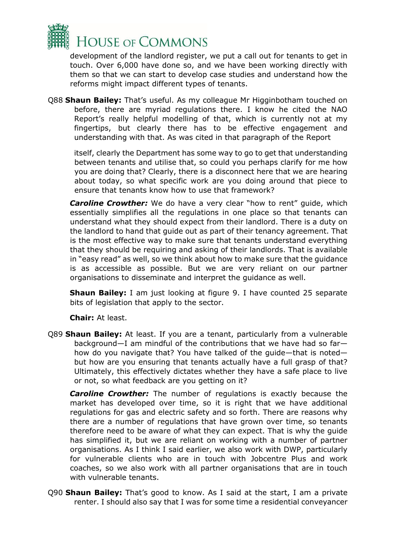

development of the landlord register, we put a call out for tenants to get in touch. Over 6,000 have done so, and we have been working directly with them so that we can start to develop case studies and understand how the reforms might impact different types of tenants.

Q88 **Shaun Bailey:** That's useful. As my colleague Mr Higginbotham touched on before, there are myriad regulations there. I know he cited the NAO Report's really helpful modelling of that, which is currently not at my fingertips, but clearly there has to be effective engagement and understanding with that. As was cited in that paragraph of the Report

itself, clearly the Department has some way to go to get that understanding between tenants and utilise that, so could you perhaps clarify for me how you are doing that? Clearly, there is a disconnect here that we are hearing about today, so what specific work are you doing around that piece to ensure that tenants know how to use that framework?

**Caroline Crowther:** We do have a very clear "how to rent" guide, which essentially simplifies all the regulations in one place so that tenants can understand what they should expect from their landlord. There is a duty on the landlord to hand that guide out as part of their tenancy agreement. That is the most effective way to make sure that tenants understand everything that they should be requiring and asking of their landlords. That is available in "easy read" as well, so we think about how to make sure that the guidance is as accessible as possible. But we are very reliant on our partner organisations to disseminate and interpret the guidance as well.

**Shaun Bailey:** I am just looking at figure 9. I have counted 25 separate bits of legislation that apply to the sector.

**Chair:** At least.

Q89 **Shaun Bailey:** At least. If you are a tenant, particularly from a vulnerable background—I am mindful of the contributions that we have had so far how do you navigate that? You have talked of the guide—that is noted but how are you ensuring that tenants actually have a full grasp of that? Ultimately, this effectively dictates whether they have a safe place to live or not, so what feedback are you getting on it?

**Caroline Crowther:** The number of regulations is exactly because the market has developed over time, so it is right that we have additional regulations for gas and electric safety and so forth. There are reasons why there are a number of regulations that have grown over time, so tenants therefore need to be aware of what they can expect. That is why the guide has simplified it, but we are reliant on working with a number of partner organisations. As I think I said earlier, we also work with DWP, particularly for vulnerable clients who are in touch with Jobcentre Plus and work coaches, so we also work with all partner organisations that are in touch with vulnerable tenants.

Q90 **Shaun Bailey:** That's good to know. As I said at the start, I am a private renter. I should also say that I was for some time a residential conveyancer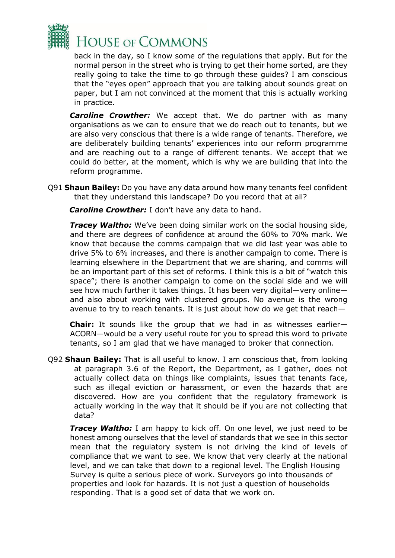

back in the day, so I know some of the regulations that apply. But for the normal person in the street who is trying to get their home sorted, are they really going to take the time to go through these guides? I am conscious that the "eyes open" approach that you are talking about sounds great on paper, but I am not convinced at the moment that this is actually working in practice.

**Caroline Crowther:** We accept that. We do partner with as many organisations as we can to ensure that we do reach out to tenants, but we are also very conscious that there is a wide range of tenants. Therefore, we are deliberately building tenants' experiences into our reform programme and are reaching out to a range of different tenants. We accept that we could do better, at the moment, which is why we are building that into the reform programme.

Q91 **Shaun Bailey:** Do you have any data around how many tenants feel confident that they understand this landscape? Do you record that at all?

*Caroline Crowther:* I don't have any data to hand.

**Tracey Waltho:** We've been doing similar work on the social housing side, and there are degrees of confidence at around the 60% to 70% mark. We know that because the comms campaign that we did last year was able to drive 5% to 6% increases, and there is another campaign to come. There is learning elsewhere in the Department that we are sharing, and comms will be an important part of this set of reforms. I think this is a bit of "watch this space"; there is another campaign to come on the social side and we will see how much further it takes things. It has been very digital—very online and also about working with clustered groups. No avenue is the wrong avenue to try to reach tenants. It is just about how do we get that reach—

**Chair:** It sounds like the group that we had in as witnesses earlier— ACORN—would be a very useful route for you to spread this word to private tenants, so I am glad that we have managed to broker that connection.

Q92 **Shaun Bailey:** That is all useful to know. I am conscious that, from looking at paragraph 3.6 of the Report, the Department, as I gather, does not actually collect data on things like complaints, issues that tenants face, such as illegal eviction or harassment, or even the hazards that are discovered. How are you confident that the regulatory framework is actually working in the way that it should be if you are not collecting that data?

*Tracey Waltho:* I am happy to kick off. On one level, we just need to be honest among ourselves that the level of standards that we see in this sector mean that the regulatory system is not driving the kind of levels of compliance that we want to see. We know that very clearly at the national level, and we can take that down to a regional level. The English Housing Survey is quite a serious piece of work. Surveyors go into thousands of properties and look for hazards. It is not just a question of households responding. That is a good set of data that we work on.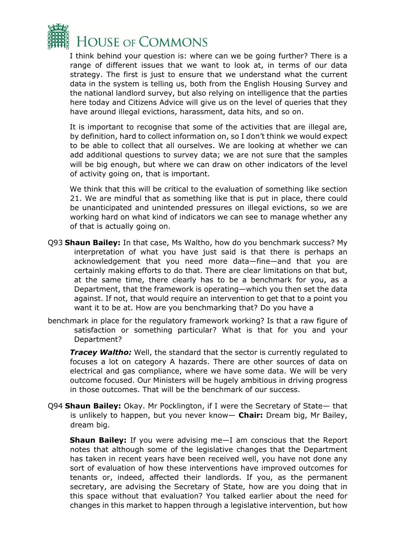

I think behind your question is: where can we be going further? There is a range of different issues that we want to look at, in terms of our data strategy. The first is just to ensure that we understand what the current data in the system is telling us, both from the English Housing Survey and the national landlord survey, but also relying on intelligence that the parties here today and Citizens Advice will give us on the level of queries that they have around illegal evictions, harassment, data hits, and so on.

It is important to recognise that some of the activities that are illegal are, by definition, hard to collect information on, so I don't think we would expect to be able to collect that all ourselves. We are looking at whether we can add additional questions to survey data; we are not sure that the samples will be big enough, but where we can draw on other indicators of the level of activity going on, that is important.

We think that this will be critical to the evaluation of something like section 21. We are mindful that as something like that is put in place, there could be unanticipated and unintended pressures on illegal evictions, so we are working hard on what kind of indicators we can see to manage whether any of that is actually going on.

- Q93 **Shaun Bailey:** In that case, Ms Waltho, how do you benchmark success? My interpretation of what you have just said is that there is perhaps an acknowledgement that you need more data—fine—and that you are certainly making efforts to do that. There are clear limitations on that but, at the same time, there clearly has to be a benchmark for you, as a Department, that the framework is operating—which you then set the data against. If not, that would require an intervention to get that to a point you want it to be at. How are you benchmarking that? Do you have a
- benchmark in place for the regulatory framework working? Is that a raw figure of satisfaction or something particular? What is that for you and your Department?

*Tracey Waltho:* Well, the standard that the sector is currently regulated to focuses a lot on category A hazards. There are other sources of data on electrical and gas compliance, where we have some data. We will be very outcome focused. Our Ministers will be hugely ambitious in driving progress in those outcomes. That will be the benchmark of our success.

Q94 **Shaun Bailey:** Okay. Mr Pocklington, if I were the Secretary of State— that is unlikely to happen, but you never know— **Chair:** Dream big, Mr Bailey, dream big.

**Shaun Bailey:** If you were advising me—I am conscious that the Report notes that although some of the legislative changes that the Department has taken in recent years have been received well, you have not done any sort of evaluation of how these interventions have improved outcomes for tenants or, indeed, affected their landlords. If you, as the permanent secretary, are advising the Secretary of State, how are you doing that in this space without that evaluation? You talked earlier about the need for changes in this market to happen through a legislative intervention, but how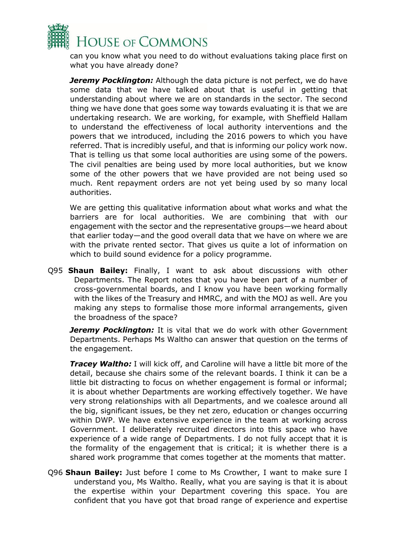

can you know what you need to do without evaluations taking place first on what you have already done?

**Jeremy Pocklington:** Although the data picture is not perfect, we do have some data that we have talked about that is useful in getting that understanding about where we are on standards in the sector. The second thing we have done that goes some way towards evaluating it is that we are undertaking research. We are working, for example, with Sheffield Hallam to understand the effectiveness of local authority interventions and the powers that we introduced, including the 2016 powers to which you have referred. That is incredibly useful, and that is informing our policy work now. That is telling us that some local authorities are using some of the powers. The civil penalties are being used by more local authorities, but we know some of the other powers that we have provided are not being used so much. Rent repayment orders are not yet being used by so many local authorities.

We are getting this qualitative information about what works and what the barriers are for local authorities. We are combining that with our engagement with the sector and the representative groups—we heard about that earlier today—and the good overall data that we have on where we are with the private rented sector. That gives us quite a lot of information on which to build sound evidence for a policy programme.

Q95 **Shaun Bailey:** Finally, I want to ask about discussions with other Departments. The Report notes that you have been part of a number of cross-governmental boards, and I know you have been working formally with the likes of the Treasury and HMRC, and with the MOJ as well. Are you making any steps to formalise those more informal arrangements, given the broadness of the space?

**Jeremy Pocklington:** It is vital that we do work with other Government Departments. Perhaps Ms Waltho can answer that question on the terms of the engagement.

**Tracey Waltho:** I will kick off, and Caroline will have a little bit more of the detail, because she chairs some of the relevant boards. I think it can be a little bit distracting to focus on whether engagement is formal or informal; it is about whether Departments are working effectively together. We have very strong relationships with all Departments, and we coalesce around all the big, significant issues, be they net zero, education or changes occurring within DWP. We have extensive experience in the team at working across Government. I deliberately recruited directors into this space who have experience of a wide range of Departments. I do not fully accept that it is the formality of the engagement that is critical; it is whether there is a shared work programme that comes together at the moments that matter.

Q96 **Shaun Bailey:** Just before I come to Ms Crowther, I want to make sure I understand you, Ms Waltho. Really, what you are saying is that it is about the expertise within your Department covering this space. You are confident that you have got that broad range of experience and expertise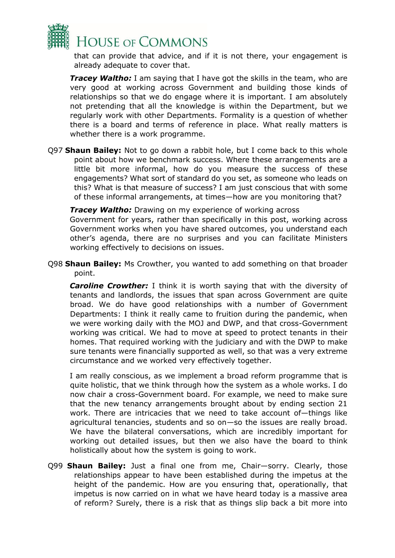

that can provide that advice, and if it is not there, your engagement is already adequate to cover that.

*Tracey Waltho:* I am saying that I have got the skills in the team, who are very good at working across Government and building those kinds of relationships so that we do engage where it is important. I am absolutely not pretending that all the knowledge is within the Department, but we regularly work with other Departments. Formality is a question of whether there is a board and terms of reference in place. What really matters is whether there is a work programme.

Q97 **Shaun Bailey:** Not to go down a rabbit hole, but I come back to this whole point about how we benchmark success. Where these arrangements are a little bit more informal, how do you measure the success of these engagements? What sort of standard do you set, as someone who leads on this? What is that measure of success? I am just conscious that with some of these informal arrangements, at times—how are you monitoring that?

*Tracey Waltho:* Drawing on my experience of working across Government for years, rather than specifically in this post, working across Government works when you have shared outcomes, you understand each other's agenda, there are no surprises and you can facilitate Ministers working effectively to decisions on issues.

Q98 **Shaun Bailey:** Ms Crowther, you wanted to add something on that broader point.

*Caroline Crowther:* I think it is worth saying that with the diversity of tenants and landlords, the issues that span across Government are quite broad. We do have good relationships with a number of Government Departments: I think it really came to fruition during the pandemic, when we were working daily with the MOJ and DWP, and that cross-Government working was critical. We had to move at speed to protect tenants in their homes. That required working with the judiciary and with the DWP to make sure tenants were financially supported as well, so that was a very extreme circumstance and we worked very effectively together.

I am really conscious, as we implement a broad reform programme that is quite holistic, that we think through how the system as a whole works. I do now chair a cross-Government board. For example, we need to make sure that the new tenancy arrangements brought about by ending section 21 work. There are intricacies that we need to take account of—things like agricultural tenancies, students and so on—so the issues are really broad. We have the bilateral conversations, which are incredibly important for working out detailed issues, but then we also have the board to think holistically about how the system is going to work.

Q99 **Shaun Bailey:** Just a final one from me, Chair—sorry. Clearly, those relationships appear to have been established during the impetus at the height of the pandemic. How are you ensuring that, operationally, that impetus is now carried on in what we have heard today is a massive area of reform? Surely, there is a risk that as things slip back a bit more into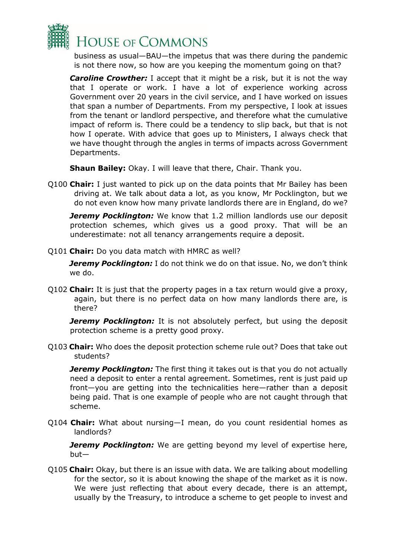

business as usual—BAU—the impetus that was there during the pandemic is not there now, so how are you keeping the momentum going on that?

**Caroline Crowther:** I accept that it might be a risk, but it is not the way that I operate or work. I have a lot of experience working across Government over 20 years in the civil service, and I have worked on issues that span a number of Departments. From my perspective, I look at issues from the tenant or landlord perspective, and therefore what the cumulative impact of reform is. There could be a tendency to slip back, but that is not how I operate. With advice that goes up to Ministers, I always check that we have thought through the angles in terms of impacts across Government Departments.

**Shaun Bailey:** Okay. I will leave that there, Chair. Thank you.

Q100 **Chair:** I just wanted to pick up on the data points that Mr Bailey has been driving at. We talk about data a lot, as you know, Mr Pocklington, but we do not even know how many private landlords there are in England, do we?

*Jeremy Pocklington:* We know that 1.2 million landlords use our deposit protection schemes, which gives us a good proxy. That will be an underestimate: not all tenancy arrangements require a deposit.

Q101 **Chair:** Do you data match with HMRC as well?

*Jeremy Pocklington:* I do not think we do on that issue. No, we don't think we do.

Q102 **Chair:** It is just that the property pages in a tax return would give a proxy, again, but there is no perfect data on how many landlords there are, is there?

*Jeremy Pocklington:* It is not absolutely perfect, but using the deposit protection scheme is a pretty good proxy.

Q103 **Chair:** Who does the deposit protection scheme rule out? Does that take out students?

**Jeremy Pocklington:** The first thing it takes out is that you do not actually need a deposit to enter a rental agreement. Sometimes, rent is just paid up front—you are getting into the technicalities here—rather than a deposit being paid. That is one example of people who are not caught through that scheme.

Q104 **Chair:** What about nursing—I mean, do you count residential homes as landlords?

*Jeremy Pocklington:* We are getting beyond my level of expertise here, but—

Q105 **Chair:** Okay, but there is an issue with data. We are talking about modelling for the sector, so it is about knowing the shape of the market as it is now. We were just reflecting that about every decade, there is an attempt, usually by the Treasury, to introduce a scheme to get people to invest and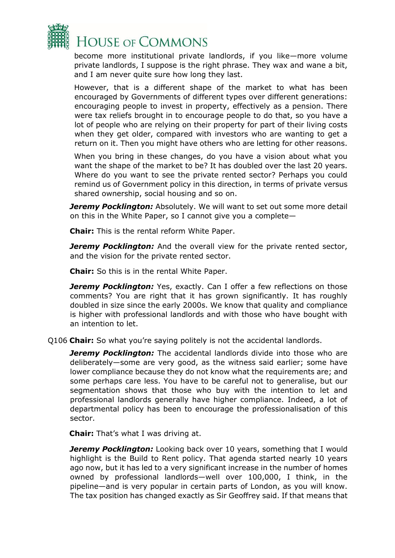

become more institutional private landlords, if you like—more volume private landlords, I suppose is the right phrase. They wax and wane a bit, and I am never quite sure how long they last.

However, that is a different shape of the market to what has been encouraged by Governments of different types over different generations: encouraging people to invest in property, effectively as a pension. There were tax reliefs brought in to encourage people to do that, so you have a lot of people who are relying on their property for part of their living costs when they get older, compared with investors who are wanting to get a return on it. Then you might have others who are letting for other reasons.

When you bring in these changes, do you have a vision about what you want the shape of the market to be? It has doubled over the last 20 years. Where do you want to see the private rented sector? Perhaps you could remind us of Government policy in this direction, in terms of private versus shared ownership, social housing and so on.

*Jeremy Pocklington:* Absolutely. We will want to set out some more detail on this in the White Paper, so I cannot give you a complete—

**Chair:** This is the rental reform White Paper.

**Jeremy Pocklington:** And the overall view for the private rented sector, and the vision for the private rented sector.

**Chair:** So this is in the rental White Paper.

**Jeremy Pocklington:** Yes, exactly. Can I offer a few reflections on those comments? You are right that it has grown significantly. It has roughly doubled in size since the early 2000s. We know that quality and compliance is higher with professional landlords and with those who have bought with an intention to let.

Q106 **Chair:** So what you're saying politely is not the accidental landlords.

**Jeremy Pocklington:** The accidental landlords divide into those who are deliberately—some are very good, as the witness said earlier; some have lower compliance because they do not know what the requirements are; and some perhaps care less. You have to be careful not to generalise, but our segmentation shows that those who buy with the intention to let and professional landlords generally have higher compliance. Indeed, a lot of departmental policy has been to encourage the professionalisation of this sector.

**Chair:** That's what I was driving at.

**Jeremy Pocklington:** Looking back over 10 years, something that I would highlight is the Build to Rent policy. That agenda started nearly 10 years ago now, but it has led to a very significant increase in the number of homes owned by professional landlords—well over 100,000, I think, in the pipeline—and is very popular in certain parts of London, as you will know. The tax position has changed exactly as Sir Geoffrey said. If that means that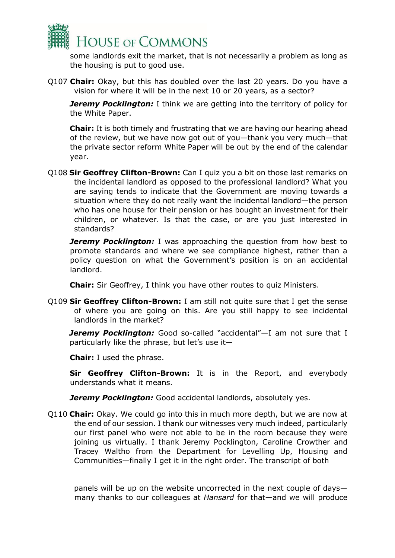

some landlords exit the market, that is not necessarily a problem as long as the housing is put to good use.

Q107 **Chair:** Okay, but this has doubled over the last 20 years. Do you have a vision for where it will be in the next 10 or 20 years, as a sector?

*Jeremy Pocklington:* I think we are getting into the territory of policy for the White Paper.

**Chair:** It is both timely and frustrating that we are having our hearing ahead of the review, but we have now got out of you—thank you very much—that the private sector reform White Paper will be out by the end of the calendar year.

Q108 **Sir Geoffrey Clifton-Brown:** Can I quiz you a bit on those last remarks on the incidental landlord as opposed to the professional landlord? What you are saying tends to indicate that the Government are moving towards a situation where they do not really want the incidental landlord—the person who has one house for their pension or has bought an investment for their children, or whatever. Is that the case, or are you just interested in standards?

*Jeremy Pocklington:* I was approaching the question from how best to promote standards and where we see compliance highest, rather than a policy question on what the Government's position is on an accidental landlord.

**Chair:** Sir Geoffrey, I think you have other routes to quiz Ministers.

Q109 **Sir Geoffrey Clifton-Brown:** I am still not quite sure that I get the sense of where you are going on this. Are you still happy to see incidental landlords in the market?

*Jeremy Pocklington:* Good so-called "accidental"—I am not sure that I particularly like the phrase, but let's use it—

**Chair:** I used the phrase.

**Sir Geoffrey Clifton-Brown:** It is in the Report, and everybody understands what it means.

**Jeremy Pocklington:** Good accidental landlords, absolutely yes.

Q110 **Chair:** Okay. We could go into this in much more depth, but we are now at the end of our session. I thank our witnesses very much indeed, particularly our first panel who were not able to be in the room because they were joining us virtually. I thank Jeremy Pocklington, Caroline Crowther and Tracey Waltho from the Department for Levelling Up, Housing and Communities—finally I get it in the right order. The transcript of both

panels will be up on the website uncorrected in the next couple of days many thanks to our colleagues at *Hansard* for that—and we will produce